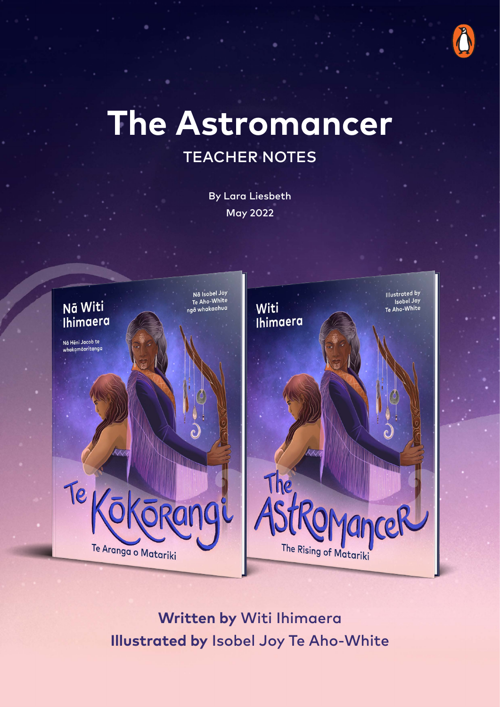

# **The Astromancer**  TEACHER NOTES

By Lara Liesbeth May 2022



**Written by** Witi Ihimaera **Illustrated by** Isobel Joy Te Aho-White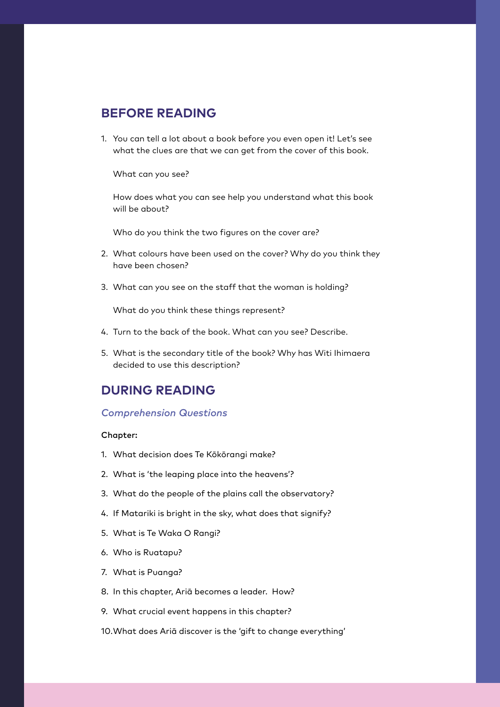# **BEFORE READING**

1. You can tell a lot about a book before you even open it! Let's see what the clues are that we can get from the cover of this book.

What can you see?

How does what you can see help you understand what this book will be about?

Who do you think the two figures on the cover are?

- 2. What colours have been used on the cover? Why do you think they have been chosen?
- 3. What can you see on the staff that the woman is holding?

What do you think these things represent?

- 4. Turn to the back of the book. What can you see? Describe.
- 5. What is the secondary title of the book? Why has Witi Ihimaera decided to use this description?

# **DURING READING**

#### *Comprehension Questions*

#### Chapter:

- 1. What decision does Te Kōkōrangi make?
- 2. What is 'the leaping place into the heavens'?
- 3. What do the people of the plains call the observatory?
- 4. If Matariki is bright in the sky, what does that signify?
- 5. What is Te Waka O Rangi?
- 6. Who is Ruatapu?
- 7. What is Puanga?
- 8. In this chapter, Ariā becomes a leader. How?
- 9. What crucial event happens in this chapter?
- 10.What does Ariā discover is the 'gift to change everything'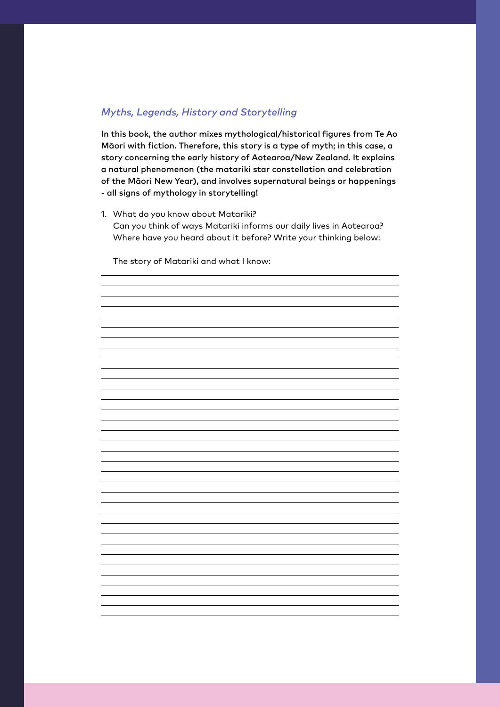## *Myths, Legends, History and Storytelling*

In this book, the author mixes mythological/historical figures from Te Ao Māori with fiction. Therefore, this story is a type of myth; in this case, a story concerning the early history of Aotearoa/New Zealand. It explains a natural phenomenon (the matariki star constellation and celebration of the Māori New Year), and involves supernatural beings or happenings - all signs of mythology in storytelling!

1. What do you know about Matariki? Can you think of ways Matariki informs our daily lives in Aotearoa? Where have you heard about it before? Write your thinking below:

The story of Matariki and what I know:

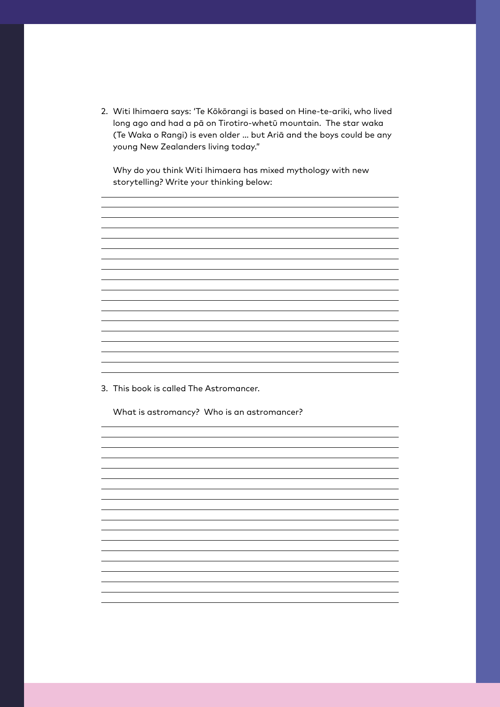2. Witi Ihimaera says: 'Te Kōkōrangi is based on Hine-te-ariki, who lived long ago and had a pā on Tirotiro-whetū mountain. The star waka (Te Waka o Rangi) is even older … but Ariā and the boys could be any young New Zealanders living today."

Why do you think Witi Ihimaera has mixed mythology with new storytelling? Write your thinking below:

<u> 1989 - Johann Stoff, amerikansk politiker (d. 1989)</u>

<u> 1989 - Johann Stoff, amerikansk politiker (\* 1908)</u>

<u> 1989 - Johann Barbara, marka a shekara tsa 1989 - An tsa 1989 - An tsa 1989 - An tsa 1989 - An tsa 1989 - An</u>

<u> 1989 - Andrea Station Barbara, amerikan personal di sebagai personal di sebagai personal di sebagai personal</u>

3. This book is called The Astromancer.

What is astromancy? Who is an astromancer?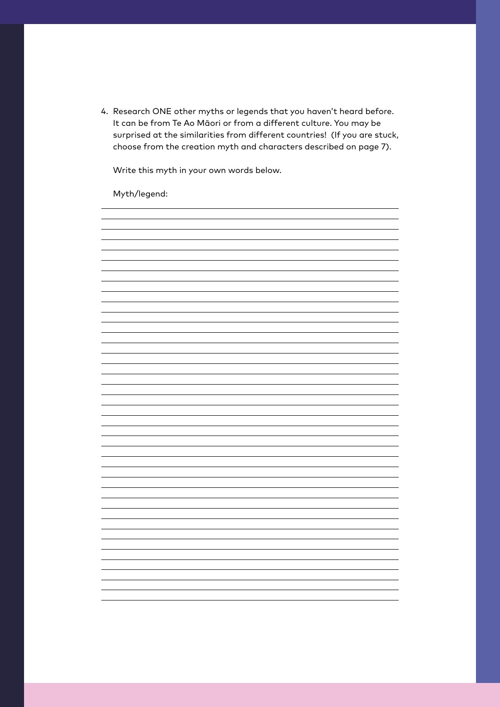4. Research ONE other myths or legends that you haven't heard before. It can be from Te Ao Māori or from a different culture. You may be surprised at the similarities from different countries! (If you are stuck, choose from the creation myth and characters described on page 7).

Write this myth in your own words below.

Myth/legend:

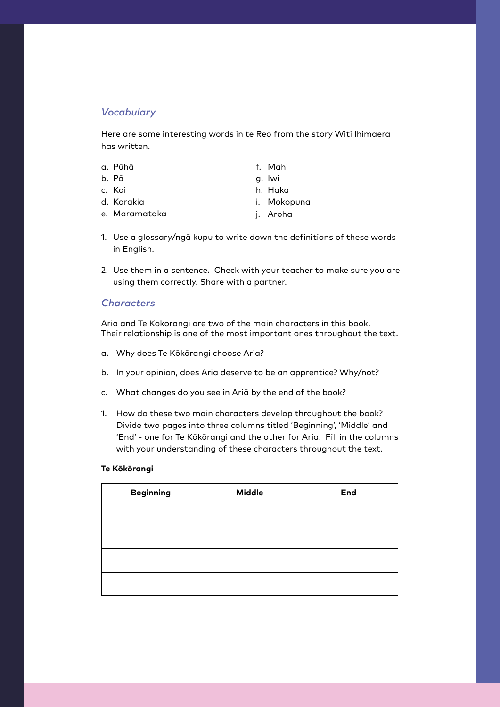## *Vocabulary*

Here are some interesting words in te Reo from the story Witi Ihimaera has written.

|                | a. Pūhā    |
|----------------|------------|
| $\blacksquare$ | $\sim$ $-$ |

- b. Pā c. Kai
- d. Karakia
- f. Mahi
- g. Iwi
- h. Haka
- i. Mokopuna

e. Maramataka

- j. Aroha
- 1. Use a glossary/ngā kupu to write down the definitions of these words in English.
- 2. Use them in a sentence. Check with your teacher to make sure you are using them correctly. Share with a partner.

## *Characters*

Aria and Te Kōkōrangi are two of the main characters in this book. Their relationship is one of the most important ones throughout the text.

- a. Why does Te Kōkōrangi choose Aria?
- b. In your opinion, does Ariā deserve to be an apprentice? Why/not?
- c. What changes do you see in Ariā by the end of the book?
- 1. How do these two main characters develop throughout the book? Divide two pages into three columns titled 'Beginning', 'Middle' and 'End' - one for Te Kōkōrangi and the other for Aria. Fill in the columns with your understanding of these characters throughout the text.

#### **Te Kōkōrangi**

| <b>Beginning</b> | <b>Middle</b> | End |
|------------------|---------------|-----|
|                  |               |     |
|                  |               |     |
|                  |               |     |
|                  |               |     |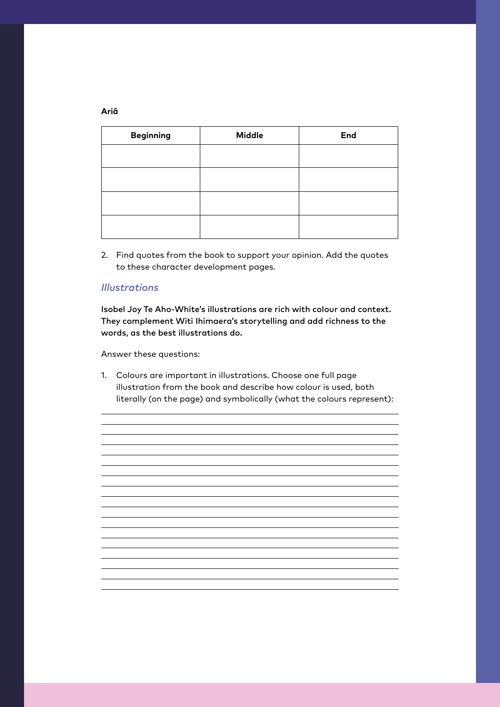| <b>Beginning</b> | <b>Middle</b> | End |
|------------------|---------------|-----|
|                  |               |     |
|                  |               |     |
|                  |               |     |
|                  |               |     |

2. Find quotes from the book to support your opinion. Add the quotes to these character development pages.

## *Illustrations*

Isobel Joy Te Aho-White's illustrations are rich with colour and context. They complement Witi Ihimaera's storytelling and add richness to the words, as the best illustrations do.

Answer these questions:

1. Colours are important in illustrations. Choose one full page illustration from the book and describe how colour is used, both literally (on the page) and symbolically (what the colours represent):

<u> 1989 - Johann Stoff, amerikansk politiker (\* 1908)</u>

**Ariā**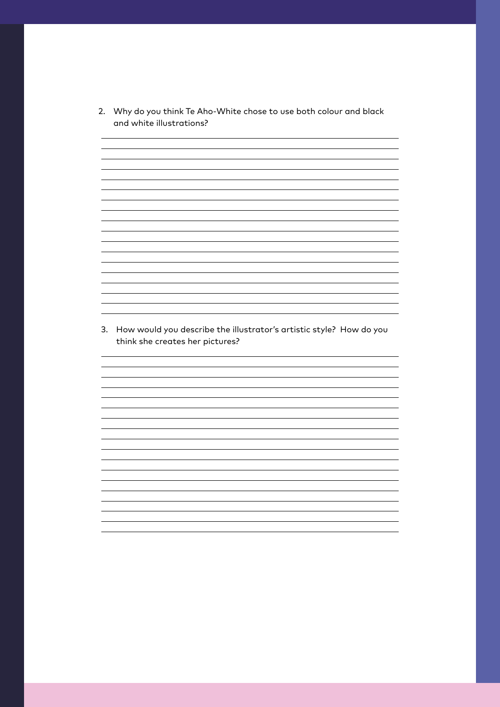2. Why do you think Te Aho-White chose to use both colour and black and white illustrations?

<u> 1989 - Johann Stoff, deutscher Stoffen und der Stoffen und der Stoffen und der Stoffen und der Stoffen und der</u> <u> 1989 - Johann Stoff, deutscher Stoff, der Stoff, der Stoff, der Stoff, der Stoff, der Stoff, der Stoff, der S</u>

<u> 1989 - Johann Barn, amerikansk politiker (d. 1989)</u>

<u> 1989 - Johann Barn, amerikansk politiker (d. 1989)</u>

the control of the control of the control of the control of the control of the control of the control of the control of the control of the control of the control of the control of the control of the control of the control

<u> 1989 - Johann Stoff, amerikansk politiker (d. 1989)</u>

<u> 1989 - Johann Stoff, amerikansk politiker (d. 1989)</u>

<u> 1989 - Johann Barbara, martxa alemaniar amerikan basar da a</u>

3. How would you describe the illustrator's artistic style? How do you think she creates her pictures?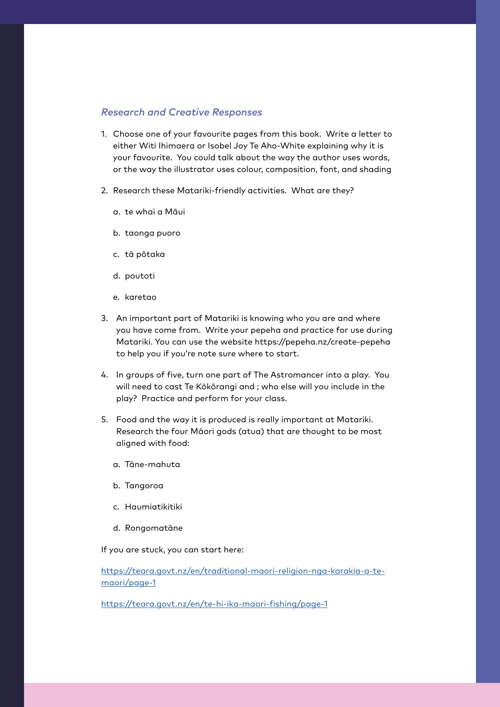#### *Research and Creative Responses*

- 1. Choose one of your favourite pages from this book. Write a letter to either Witi Ihimaera or Isobel Joy Te Aho-White explaining why it is your favourite. You could talk about the way the author uses words, or the way the illustrator uses colour, composition, font, and shading
- 2. Research these Matariki-friendly activities. What are they?
	- a. te whai a Māui
	- b. taonga puoro
	- c. tā pōtaka
	- d. poutoti
	- e. karetao
- 3. An important part of Matariki is knowing who you are and where you have come from. Write your pepeha and practice for use during Matariki. You can use the website https://pepeha.nz/create-pepeha to help you if you're note sure where to start.
- 4. In groups of five, turn one part of The Astromancer into a play. You will need to cast Te Kōkōrangi and ; who else will you include in the play? Practice and perform for your class.
- 5. Food and the way it is produced is really important at Matariki. Research the four Māori gods (atua) that are thought to be most aligned with food:
	- a. Tāne-mahuta
	- b. Tangoroa
	- c. Haumiatikitiki
	- d. Rongomatāne

If you are stuck, you can start here:

[https://teara.govt.nz/en/traditional-maori-religion-nga-karakia-a-te](https://teara.govt.nz/en/traditional-maori-religion-nga-karakia-a-te-maori/page-1 )[maori/page-1](https://teara.govt.nz/en/traditional-maori-religion-nga-karakia-a-te-maori/page-1 )

<https://teara.govt.nz/en/te-hi-ika-maori-fishing/page-1>